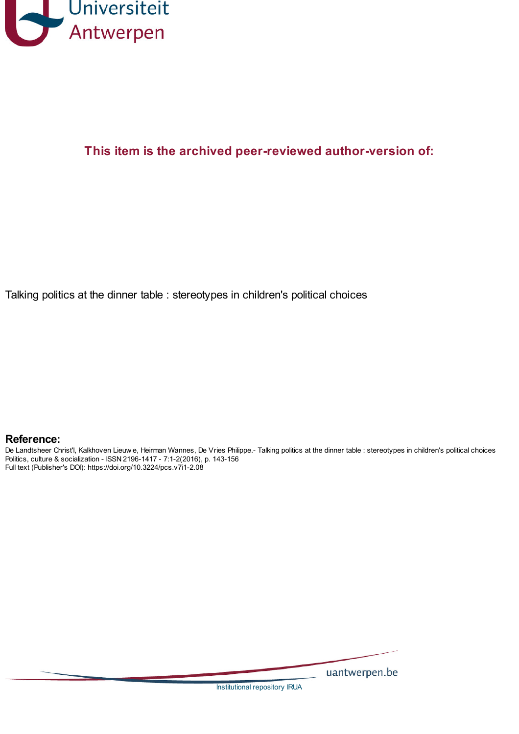

# **This item is the archived peer-reviewed author-version of:**

Talking politics at the dinner table : stereotypes in children's political choices

# **Reference:**

De Landtsheer Christ'l, Kalkhoven Lieuw e, Heirman Wannes, De Vries Philippe.- Talking politics at the dinner table : stereotypes in children's political choices Politics, culture & socialization - ISSN 2196-1417 - 7:1-2(2016), p. 143-156 Full text (Publisher's DOI): https://doi.org/10.3224/pcs.v7i1-2.08

uantwerpen.be

[Institutional](http://anet.uantwerpen.be/irua) repository IRUA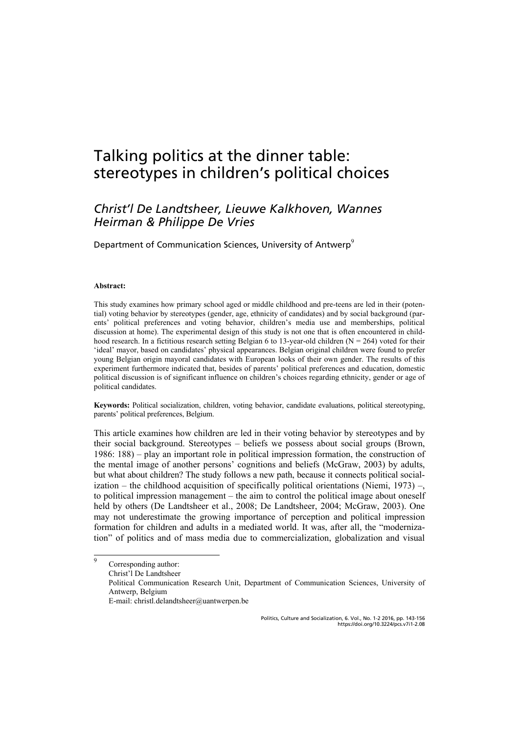# Talking politics at the dinner table: stereotypes in children's political choices

# *Christ'l De Landtsheer, Lieuwe Kalkhoven, Wannes Heirman & Philippe De Vries*

Department of Communication Sciences, University of Antwerp<sup>9</sup>

#### **Abstract:**

This study examines how primary school aged or middle childhood and pre-teens are led in their (potential) voting behavior by stereotypes (gender, age, ethnicity of candidates) and by social background (parents' political preferences and voting behavior, children's media use and memberships, political discussion at home). The experimental design of this study is not one that is often encountered in childhood research. In a fictitious research setting Belgian 6 to 13-year-old children  $(N = 264)$  voted for their 'ideal' mayor, based on candidates' physical appearances. Belgian original children were found to prefer young Belgian origin mayoral candidates with European looks of their own gender. The results of this experiment furthermore indicated that, besides of parents' political preferences and education, domestic political discussion is of significant influence on children's choices regarding ethnicity, gender or age of political candidates.

**Keywords:** Political socialization, children, voting behavior, candidate evaluations, political stereotyping, parents' political preferences, Belgium.

This article examines how children are led in their voting behavior by stereotypes and by their social background. Stereotypes – beliefs we possess about social groups (Brown, 1986: 188) – play an important role in political impression formation, the construction of the mental image of another persons' cognitions and beliefs (McGraw, 2003) by adults, but what about children? The study follows a new path, because it connects political socialization – the childhood acquisition of specifically political orientations (Niemi, 1973) –, to political impression management – the aim to control the political image about oneself held by others (De Landtsheer et al., 2008; De Landtsheer, 2004; McGraw, 2003). One may not underestimate the growing importance of perception and political impression formation for children and adults in a mediated world. It was, after all, the "modernization" of politics and of mass media due to commercialization, globalization and visual

 9 Corresponding author:

Christ'l De Landtsheer

Political Communication Research Unit, Department of Communication Sciences, University of Antwerp, Belgium

E-mail: christl.delandtsheer@uantwerpen.be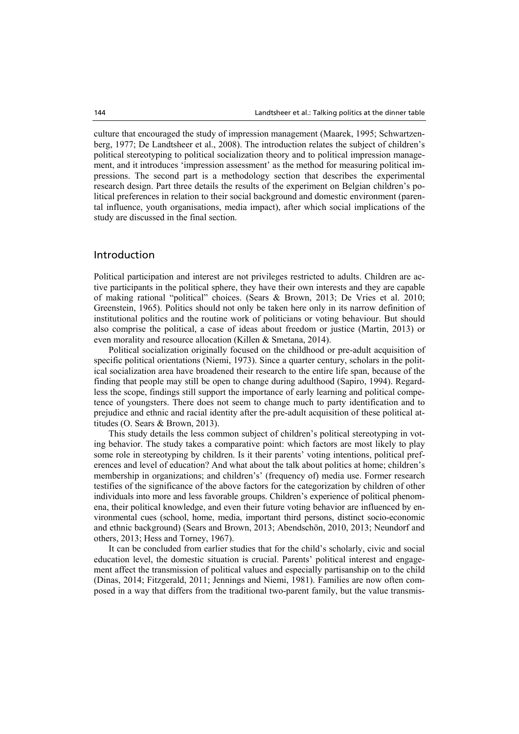culture that encouraged the study of impression management (Maarek, 1995; Schwartzenberg, 1977; De Landtsheer et al., 2008). The introduction relates the subject of children's political stereotyping to political socialization theory and to political impression management, and it introduces 'impression assessment' as the method for measuring political impressions. The second part is a methodology section that describes the experimental research design. Part three details the results of the experiment on Belgian children's political preferences in relation to their social background and domestic environment (parental influence, youth organisations, media impact), after which social implications of the study are discussed in the final section.

# Introduction

Political participation and interest are not privileges restricted to adults. Children are active participants in the political sphere, they have their own interests and they are capable of making rational "political" choices. (Sears & Brown, 2013; De Vries et al. 2010; Greenstein, 1965). Politics should not only be taken here only in its narrow definition of institutional politics and the routine work of politicians or voting behaviour. But should also comprise the political, a case of ideas about freedom or justice (Martin, 2013) or even morality and resource allocation (Killen & Smetana, 2014).

Political socialization originally focused on the childhood or pre-adult acquisition of specific political orientations (Niemi, 1973). Since a quarter century, scholars in the political socialization area have broadened their research to the entire life span, because of the finding that people may still be open to change during adulthood (Sapiro, 1994). Regardless the scope, findings still support the importance of early learning and political competence of youngsters. There does not seem to change much to party identification and to prejudice and ethnic and racial identity after the pre-adult acquisition of these political attitudes (O. Sears & Brown, 2013).

This study details the less common subject of children's political stereotyping in voting behavior. The study takes a comparative point: which factors are most likely to play some role in stereotyping by children. Is it their parents' voting intentions, political preferences and level of education? And what about the talk about politics at home; children's membership in organizations; and children's' (frequency of) media use. Former research testifies of the significance of the above factors for the categorization by children of other individuals into more and less favorable groups. Children's experience of political phenomena, their political knowledge, and even their future voting behavior are influenced by environmental cues (school, home, media, important third persons, distinct socio-economic and ethnic background) (Sears and Brown, 2013; Abendschön, 2010, 2013; Neundorf and others, 2013; Hess and Torney, 1967).

It can be concluded from earlier studies that for the child's scholarly, civic and social education level, the domestic situation is crucial. Parents' political interest and engagement affect the transmission of political values and especially partisanship on to the child (Dinas, 2014; Fitzgerald, 2011; Jennings and Niemi, 1981). Families are now often composed in a way that differs from the traditional two-parent family, but the value transmis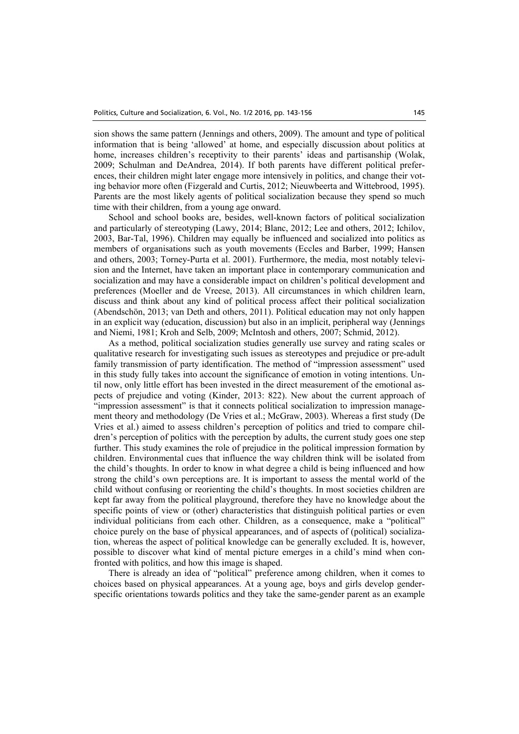sion shows the same pattern (Jennings and others, 2009). The amount and type of political information that is being 'allowed' at home, and especially discussion about politics at home, increases children's receptivity to their parents' ideas and partisanship (Wolak, 2009; Schulman and DeAndrea, 2014). If both parents have different political preferences, their children might later engage more intensively in politics, and change their voting behavior more often (Fizgerald and Curtis, 2012; Nieuwbeerta and Wittebrood, 1995). Parents are the most likely agents of political socialization because they spend so much time with their children, from a young age onward.

School and school books are, besides, well-known factors of political socialization and particularly of stereotyping (Lawy, 2014; Blanc, 2012; Lee and others, 2012; Ichilov, 2003, Bar-Tal, 1996). Children may equally be influenced and socialized into politics as members of organisations such as youth movements (Eccles and Barber, 1999; Hansen and others, 2003; Torney-Purta et al. 2001). Furthermore, the media, most notably television and the Internet, have taken an important place in contemporary communication and socialization and may have a considerable impact on children's political development and preferences (Moeller and de Vreese, 2013). All circumstances in which children learn, discuss and think about any kind of political process affect their political socialization (Abendschön, 2013; van Deth and others, 2011). Political education may not only happen in an explicit way (education, discussion) but also in an implicit, peripheral way (Jennings and Niemi, 1981; Kroh and Selb, 2009; McIntosh and others, 2007; Schmid, 2012).

As a method, political socialization studies generally use survey and rating scales or qualitative research for investigating such issues as stereotypes and prejudice or pre-adult family transmission of party identification. The method of "impression assessment" used in this study fully takes into account the significance of emotion in voting intentions. Until now, only little effort has been invested in the direct measurement of the emotional aspects of prejudice and voting (Kinder, 2013: 822). New about the current approach of "impression assessment" is that it connects political socialization to impression management theory and methodology (De Vries et al.; McGraw, 2003). Whereas a first study (De Vries et al.) aimed to assess children's perception of politics and tried to compare children's perception of politics with the perception by adults, the current study goes one step further. This study examines the role of prejudice in the political impression formation by children. Environmental cues that influence the way children think will be isolated from the child's thoughts. In order to know in what degree a child is being influenced and how strong the child's own perceptions are. It is important to assess the mental world of the child without confusing or reorienting the child's thoughts. In most societies children are kept far away from the political playground, therefore they have no knowledge about the specific points of view or (other) characteristics that distinguish political parties or even individual politicians from each other. Children, as a consequence, make a "political" choice purely on the base of physical appearances, and of aspects of (political) socialization, whereas the aspect of political knowledge can be generally excluded. It is, however, possible to discover what kind of mental picture emerges in a child's mind when confronted with politics, and how this image is shaped.

There is already an idea of "political" preference among children, when it comes to choices based on physical appearances. At a young age, boys and girls develop genderspecific orientations towards politics and they take the same-gender parent as an example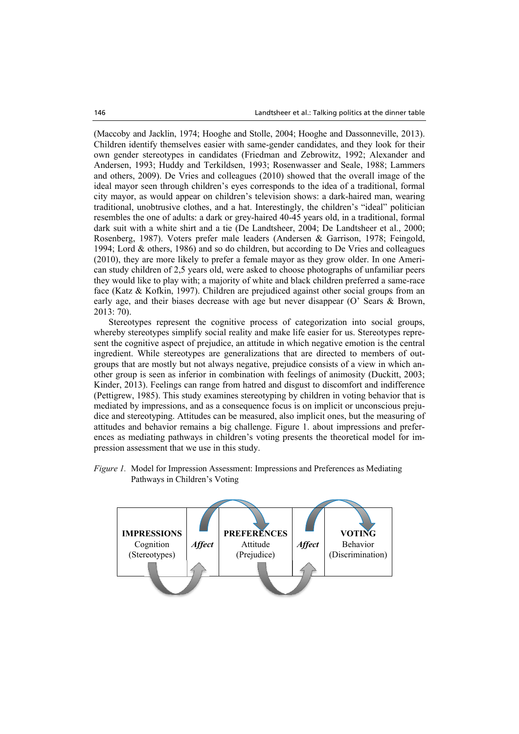(Maccoby and Jacklin, 1974; Hooghe and Stolle, 2004; Hooghe and Dassonneville, 2013). Children identify themselves easier with same-gender candidates, and they look for their own gender stereotypes in candidates (Friedman and Zebrowitz, 1992; Alexander and Andersen, 1993; Huddy and Terkildsen, 1993; Rosenwasser and Seale, 1988; Lammers and others, 2009). De Vries and colleagues (2010) showed that the overall image of the ideal mayor seen through children's eyes corresponds to the idea of a traditional, formal city mayor, as would appear on children's television shows: a dark-haired man, wearing traditional, unobtrusive clothes, and a hat. Interestingly, the children's "ideal" politician resembles the one of adults: a dark or grey-haired 40-45 years old, in a traditional, formal dark suit with a white shirt and a tie (De Landtsheer, 2004; De Landtsheer et al., 2000; Rosenberg, 1987). Voters prefer male leaders (Andersen & Garrison, 1978; Feingold, 1994; Lord & others, 1986) and so do children, but according to De Vries and colleagues (2010), they are more likely to prefer a female mayor as they grow older. In one American study children of 2,5 years old, were asked to choose photographs of unfamiliar peers they would like to play with; a majority of white and black children preferred a same-race face (Katz & Kofkin, 1997). Children are prejudiced against other social groups from an early age, and their biases decrease with age but never disappear (O' Sears & Brown, 2013: 70).

Stereotypes represent the cognitive process of categorization into social groups, whereby stereotypes simplify social reality and make life easier for us. Stereotypes represent the cognitive aspect of prejudice, an attitude in which negative emotion is the central ingredient. While stereotypes are generalizations that are directed to members of outgroups that are mostly but not always negative, prejudice consists of a view in which another group is seen as inferior in combination with feelings of animosity (Duckitt, 2003; Kinder, 2013). Feelings can range from hatred and disgust to discomfort and indifference (Pettigrew, 1985). This study examines stereotyping by children in voting behavior that is mediated by impressions, and as a consequence focus is on implicit or unconscious prejudice and stereotyping. Attitudes can be measured, also implicit ones, but the measuring of attitudes and behavior remains a big challenge. Figure 1. about impressions and preferences as mediating pathways in children's voting presents the theoretical model for impression assessment that we use in this study.

*Figure 1.* Model for Impression Assessment: Impressions and Preferences as Mediating Pathways in Children's Voting

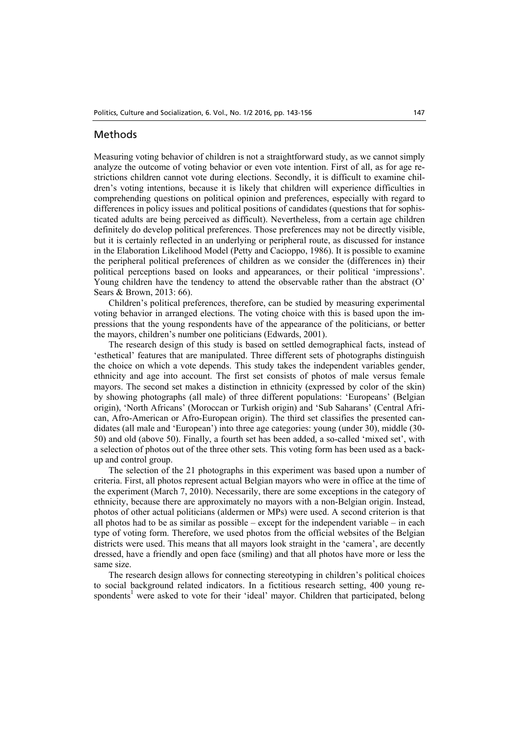## Methods

Measuring voting behavior of children is not a straightforward study, as we cannot simply analyze the outcome of voting behavior or even vote intention. First of all, as for age restrictions children cannot vote during elections. Secondly, it is difficult to examine children's voting intentions, because it is likely that children will experience difficulties in comprehending questions on political opinion and preferences, especially with regard to differences in policy issues and political positions of candidates (questions that for sophisticated adults are being perceived as difficult). Nevertheless, from a certain age children definitely do develop political preferences. Those preferences may not be directly visible, but it is certainly reflected in an underlying or peripheral route, as discussed for instance in the Elaboration Likelihood Model (Petty and Cacioppo, 1986). It is possible to examine the peripheral political preferences of children as we consider the (differences in) their political perceptions based on looks and appearances, or their political 'impressions'. Young children have the tendency to attend the observable rather than the abstract (O' Sears & Brown, 2013: 66).

Children's political preferences, therefore, can be studied by measuring experimental voting behavior in arranged elections. The voting choice with this is based upon the impressions that the young respondents have of the appearance of the politicians, or better the mayors, children's number one politicians (Edwards, 2001).

The research design of this study is based on settled demographical facts, instead of 'esthetical' features that are manipulated. Three different sets of photographs distinguish the choice on which a vote depends. This study takes the independent variables gender, ethnicity and age into account. The first set consists of photos of male versus female mayors. The second set makes a distinction in ethnicity (expressed by color of the skin) by showing photographs (all male) of three different populations: 'Europeans' (Belgian origin), 'North Africans' (Moroccan or Turkish origin) and 'Sub Saharans' (Central African, Afro-American or Afro-European origin). The third set classifies the presented candidates (all male and 'European') into three age categories: young (under 30), middle (30- 50) and old (above 50). Finally, a fourth set has been added, a so-called 'mixed set', with a selection of photos out of the three other sets. This voting form has been used as a backup and control group.

The selection of the 21 photographs in this experiment was based upon a number of criteria. First, all photos represent actual Belgian mayors who were in office at the time of the experiment (March 7, 2010). Necessarily, there are some exceptions in the category of ethnicity, because there are approximately no mayors with a non-Belgian origin. Instead, photos of other actual politicians (aldermen or MPs) were used. A second criterion is that all photos had to be as similar as possible – except for the independent variable – in each type of voting form. Therefore, we used photos from the official websites of the Belgian districts were used. This means that all mayors look straight in the 'camera', are decently dressed, have a friendly and open face (smiling) and that all photos have more or less the same size.

The research design allows for connecting stereotyping in children's political choices to social background related indicators. In a fictitious research setting, 400 young respondents<sup>1</sup> were asked to vote for their 'ideal' mayor. Children that participated, belong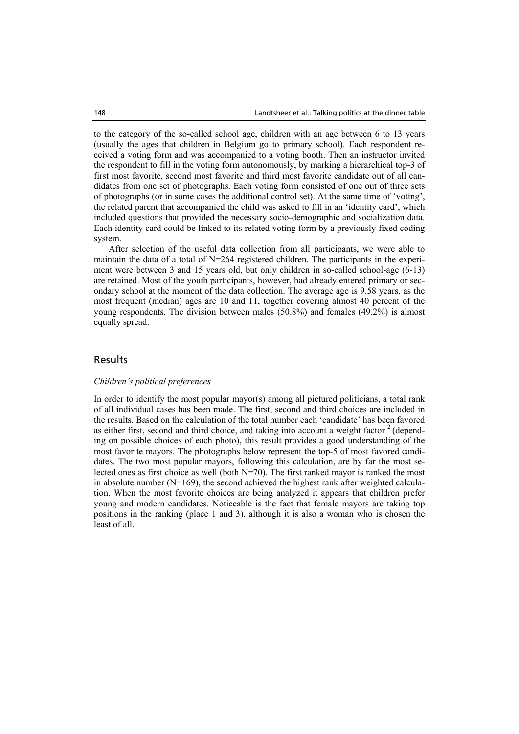to the category of the so-called school age, children with an age between 6 to 13 years (usually the ages that children in Belgium go to primary school). Each respondent received a voting form and was accompanied to a voting booth. Then an instructor invited the respondent to fill in the voting form autonomously, by marking a hierarchical top-3 of first most favorite, second most favorite and third most favorite candidate out of all candidates from one set of photographs. Each voting form consisted of one out of three sets of photographs (or in some cases the additional control set). At the same time of 'voting', the related parent that accompanied the child was asked to fill in an 'identity card', which included questions that provided the necessary socio-demographic and socialization data. Each identity card could be linked to its related voting form by a previously fixed coding system.

After selection of the useful data collection from all participants, we were able to maintain the data of a total of  $N=264$  registered children. The participants in the experiment were between 3 and 15 years old, but only children in so-called school-age (6-13) are retained. Most of the youth participants, however, had already entered primary or secondary school at the moment of the data collection. The average age is 9.58 years, as the most frequent (median) ages are 10 and 11, together covering almost 40 percent of the young respondents. The division between males (50.8%) and females (49.2%) is almost equally spread.

# Results

#### *Children's political preferences*

In order to identify the most popular mayor(s) among all pictured politicians, a total rank of all individual cases has been made. The first, second and third choices are included in the results. Based on the calculation of the total number each 'candidate' has been favored as either first, second and third choice, and taking into account a weight factor  $\frac{2}{3}$  (depending on possible choices of each photo), this result provides a good understanding of the most favorite mayors. The photographs below represent the top-5 of most favored candidates. The two most popular mayors, following this calculation, are by far the most selected ones as first choice as well (both N=70). The first ranked mayor is ranked the most in absolute number  $(N=169)$ , the second achieved the highest rank after weighted calculation. When the most favorite choices are being analyzed it appears that children prefer young and modern candidates. Noticeable is the fact that female mayors are taking top positions in the ranking (place 1 and 3), although it is also a woman who is chosen the least of all.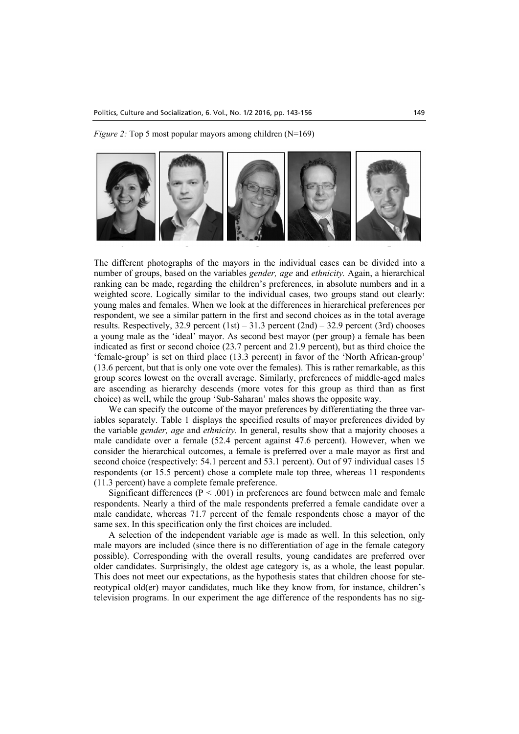*Figure 2:* Top 5 most popular mayors among children (N=169)



The different photographs of the mayors in the individual cases can be divided into a number of groups, based on the variables *gender, age* and *ethnicity.* Again, a hierarchical ranking can be made, regarding the children's preferences, in absolute numbers and in a weighted score. Logically similar to the individual cases, two groups stand out clearly: young males and females. When we look at the differences in hierarchical preferences per respondent, we see a similar pattern in the first and second choices as in the total average results. Respectively, 32.9 percent  $(1st) - 31.3$  percent  $(2nd) - 32.9$  percent  $(3rd)$  chooses a young male as the 'ideal' mayor. As second best mayor (per group) a female has been indicated as first or second choice (23.7 percent and 21.9 percent), but as third choice the 'female-group' is set on third place (13.3 percent) in favor of the 'North African-group' (13.6 percent, but that is only one vote over the females). This is rather remarkable, as this group scores lowest on the overall average. Similarly, preferences of middle-aged males are ascending as hierarchy descends (more votes for this group as third than as first choice) as well, while the group 'Sub-Saharan' males shows the opposite way.

We can specify the outcome of the mayor preferences by differentiating the three variables separately. Table 1 displays the specified results of mayor preferences divided by the variable *gender, age* and *ethnicity.* In general, results show that a majority chooses a male candidate over a female (52.4 percent against 47.6 percent). However, when we consider the hierarchical outcomes, a female is preferred over a male mayor as first and second choice (respectively: 54.1 percent and 53.1 percent). Out of 97 individual cases 15 respondents (or 15.5 percent) chose a complete male top three, whereas 11 respondents (11.3 percent) have a complete female preference.

Significant differences ( $P < .001$ ) in preferences are found between male and female respondents. Nearly a third of the male respondents preferred a female candidate over a male candidate, whereas 71.7 percent of the female respondents chose a mayor of the same sex. In this specification only the first choices are included.

A selection of the independent variable *age* is made as well. In this selection, only male mayors are included (since there is no differentiation of age in the female category possible). Corresponding with the overall results, young candidates are preferred over older candidates. Surprisingly, the oldest age category is, as a whole, the least popular. This does not meet our expectations, as the hypothesis states that children choose for stereotypical old(er) mayor candidates, much like they know from, for instance, children's television programs. In our experiment the age difference of the respondents has no sig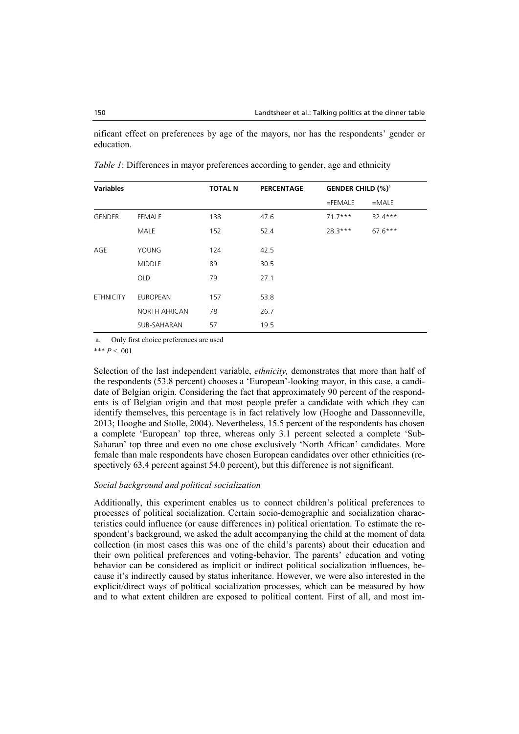nificant effect on preferences by age of the mayors, nor has the respondents' gender or education.

| <b>Variables</b> |                      | <b>TOTAL N</b> | <b>PERCENTAGE</b> | <b>GENDER CHILD (%)<sup>a</sup></b> |           |  |
|------------------|----------------------|----------------|-------------------|-------------------------------------|-----------|--|
|                  |                      |                |                   | $=$ FEMALE                          | $=$ MALE  |  |
| <b>GENDER</b>    | <b>FEMALE</b>        | 138            | 47.6              | $71.7***$                           | $32.4***$ |  |
|                  | <b>MALE</b>          | 152            | 52.4              | $28.3***$                           | $67.6***$ |  |
| AGE              | YOUNG                | 124            | 42.5              |                                     |           |  |
|                  | <b>MIDDLE</b>        | 89             | 30.5              |                                     |           |  |
|                  | <b>OLD</b>           | 79             | 27.1              |                                     |           |  |
| <b>ETHNICITY</b> | <b>EUROPEAN</b>      | 157            | 53.8              |                                     |           |  |
|                  | <b>NORTH AFRICAN</b> | 78             | 26.7              |                                     |           |  |
|                  | SUB-SAHARAN          | 57             | 19.5              |                                     |           |  |

*Table 1*: Differences in mayor preferences according to gender, age and ethnicity

a. Only first choice preferences are used

\*\*\*  $P < .001$ 

Selection of the last independent variable, *ethnicity,* demonstrates that more than half of the respondents (53.8 percent) chooses a 'European'-looking mayor, in this case, a candidate of Belgian origin. Considering the fact that approximately 90 percent of the respondents is of Belgian origin and that most people prefer a candidate with which they can identify themselves, this percentage is in fact relatively low (Hooghe and Dassonneville, 2013; Hooghe and Stolle, 2004). Nevertheless, 15.5 percent of the respondents has chosen a complete 'European' top three, whereas only 3.1 percent selected a complete 'Sub-Saharan' top three and even no one chose exclusively 'North African' candidates. More female than male respondents have chosen European candidates over other ethnicities (respectively 63.4 percent against 54.0 percent), but this difference is not significant.

### *Social background and political socialization*

Additionally, this experiment enables us to connect children's political preferences to processes of political socialization. Certain socio-demographic and socialization characteristics could influence (or cause differences in) political orientation. To estimate the respondent's background, we asked the adult accompanying the child at the moment of data collection (in most cases this was one of the child's parents) about their education and their own political preferences and voting-behavior. The parents' education and voting behavior can be considered as implicit or indirect political socialization influences, because it's indirectly caused by status inheritance. However, we were also interested in the explicit/direct ways of political socialization processes, which can be measured by how and to what extent children are exposed to political content. First of all, and most im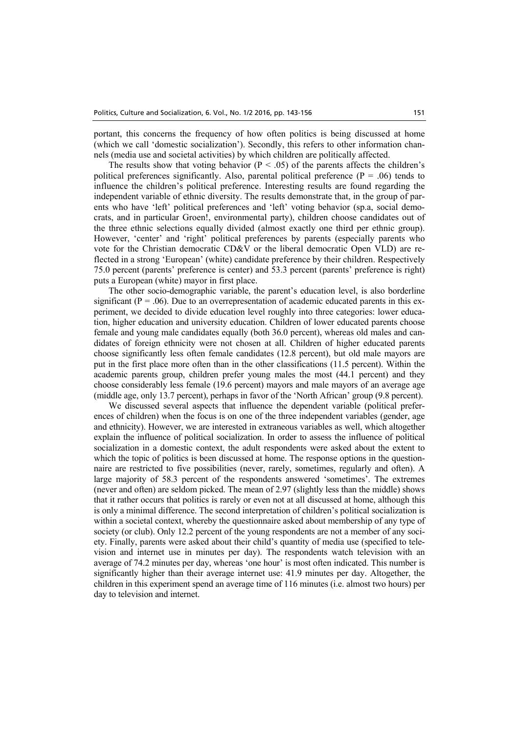portant, this concerns the frequency of how often politics is being discussed at home (which we call 'domestic socialization'). Secondly, this refers to other information channels (media use and societal activities) by which children are politically affected.

The results show that voting behavior ( $P < .05$ ) of the parents affects the children's political preferences significantly. Also, parental political preference ( $P = .06$ ) tends to influence the children's political preference. Interesting results are found regarding the independent variable of ethnic diversity. The results demonstrate that, in the group of parents who have 'left' political preferences and 'left' voting behavior (sp.a, social democrats, and in particular Groen!, environmental party), children choose candidates out of the three ethnic selections equally divided (almost exactly one third per ethnic group). However, 'center' and 'right' political preferences by parents (especially parents who vote for the Christian democratic CD&V or the liberal democratic Open VLD) are reflected in a strong 'European' (white) candidate preference by their children. Respectively 75.0 percent (parents' preference is center) and 53.3 percent (parents' preference is right) puts a European (white) mayor in first place.

The other socio-demographic variable, the parent's education level, is also borderline significant ( $P = .06$ ). Due to an overrepresentation of academic educated parents in this experiment, we decided to divide education level roughly into three categories: lower education, higher education and university education. Children of lower educated parents choose female and young male candidates equally (both 36.0 percent), whereas old males and candidates of foreign ethnicity were not chosen at all. Children of higher educated parents choose significantly less often female candidates (12.8 percent), but old male mayors are put in the first place more often than in the other classifications (11.5 percent). Within the academic parents group, children prefer young males the most (44.1 percent) and they choose considerably less female (19.6 percent) mayors and male mayors of an average age (middle age, only 13.7 percent), perhaps in favor of the 'North African' group (9.8 percent).

We discussed several aspects that influence the dependent variable (political preferences of children) when the focus is on one of the three independent variables (gender, age and ethnicity). However, we are interested in extraneous variables as well, which altogether explain the influence of political socialization. In order to assess the influence of political socialization in a domestic context, the adult respondents were asked about the extent to which the topic of politics is been discussed at home. The response options in the questionnaire are restricted to five possibilities (never, rarely, sometimes, regularly and often). A large majority of 58.3 percent of the respondents answered 'sometimes'. The extremes (never and often) are seldom picked. The mean of 2.97 (slightly less than the middle) shows that it rather occurs that politics is rarely or even not at all discussed at home, although this is only a minimal difference. The second interpretation of children's political socialization is within a societal context, whereby the questionnaire asked about membership of any type of society (or club). Only 12.2 percent of the young respondents are not a member of any society. Finally, parents were asked about their child's quantity of media use (specified to television and internet use in minutes per day). The respondents watch television with an average of 74.2 minutes per day, whereas 'one hour' is most often indicated. This number is significantly higher than their average internet use: 41.9 minutes per day. Altogether, the children in this experiment spend an average time of 116 minutes (i.e. almost two hours) per day to television and internet.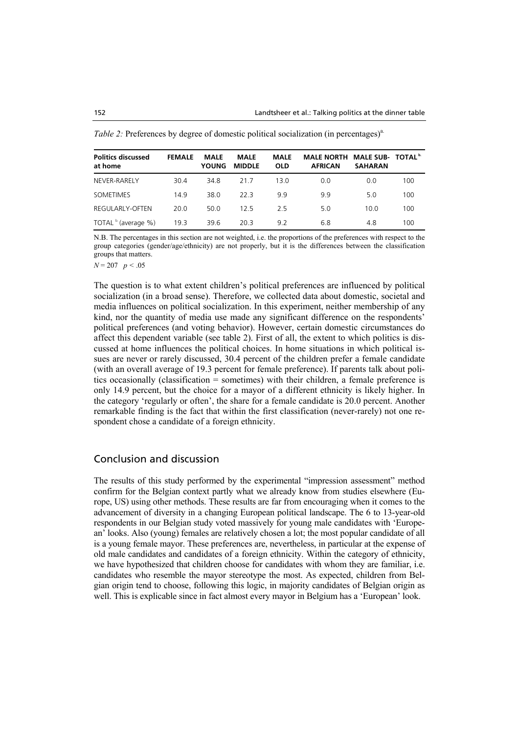| <b>Politics discussed</b><br>at home | <b>FEMALE</b> | <b>MALE</b><br><b>YOUNG</b> | <b>MALE</b><br><b>MIDDLE</b> | <b>MALE</b><br><b>OLD</b> | MALE NORTH MALE SUB- TOTAL <sup>b.</sup><br><b>AFRICAN</b> | <b>SAHARAN</b> |     |
|--------------------------------------|---------------|-----------------------------|------------------------------|---------------------------|------------------------------------------------------------|----------------|-----|
| NEVER-RARELY                         | 30.4          | 34.8                        | 217                          | 13.0                      | 0.0                                                        | 0.0            | 100 |
| SOMETIMES                            | 14.9          | 38.0                        | 22 B                         | 99                        | 9.9                                                        | 5.0            | 100 |
| REGULARLY-OFTEN                      | 20.0          | 50.0                        | 125                          | 25                        | 5.0                                                        | 10.0           | 100 |
| TOTAL b. (average %)                 | 19.3          | 39.6                        | 20.3                         | 92                        | 6.8                                                        | 4.8            | 100 |

*Table 2:* Preferences by degree of domestic political socialization (in percentages)<sup>a.</sup>

N.B. The percentages in this section are not weighted, i.e. the proportions of the preferences with respect to the group categories (gender/age/ethnicity) are not properly, but it is the differences between the classification groups that matters.

*N* = 207 *p <* .05

The question is to what extent children's political preferences are influenced by political socialization (in a broad sense). Therefore, we collected data about domestic, societal and media influences on political socialization. In this experiment, neither membership of any kind, nor the quantity of media use made any significant difference on the respondents' political preferences (and voting behavior). However, certain domestic circumstances do affect this dependent variable (see table 2). First of all, the extent to which politics is discussed at home influences the political choices. In home situations in which political issues are never or rarely discussed, 30.4 percent of the children prefer a female candidate (with an overall average of 19.3 percent for female preference). If parents talk about politics occasionally (classification = sometimes) with their children, a female preference is only 14.9 percent, but the choice for a mayor of a different ethnicity is likely higher. In the category 'regularly or often', the share for a female candidate is 20.0 percent. Another remarkable finding is the fact that within the first classification (never-rarely) not one respondent chose a candidate of a foreign ethnicity.

### Conclusion and discussion

The results of this study performed by the experimental "impression assessment" method confirm for the Belgian context partly what we already know from studies elsewhere (Europe, US) using other methods. These results are far from encouraging when it comes to the advancement of diversity in a changing European political landscape. The 6 to 13-year-old respondents in our Belgian study voted massively for young male candidates with 'European' looks. Also (young) females are relatively chosen a lot; the most popular candidate of all is a young female mayor. These preferences are, nevertheless, in particular at the expense of old male candidates and candidates of a foreign ethnicity. Within the category of ethnicity, we have hypothesized that children choose for candidates with whom they are familiar, i.e. candidates who resemble the mayor stereotype the most. As expected, children from Belgian origin tend to choose, following this logic, in majority candidates of Belgian origin as well. This is explicable since in fact almost every mayor in Belgium has a 'European' look.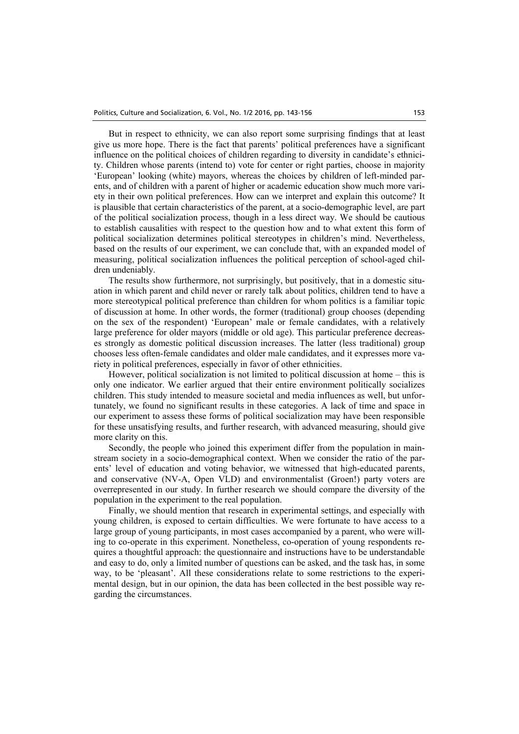But in respect to ethnicity, we can also report some surprising findings that at least give us more hope. There is the fact that parents' political preferences have a significant influence on the political choices of children regarding to diversity in candidate's ethnicity. Children whose parents (intend to) vote for center or right parties, choose in majority 'European' looking (white) mayors, whereas the choices by children of left-minded parents, and of children with a parent of higher or academic education show much more variety in their own political preferences. How can we interpret and explain this outcome? It is plausible that certain characteristics of the parent, at a socio-demographic level, are part of the political socialization process, though in a less direct way. We should be cautious to establish causalities with respect to the question how and to what extent this form of political socialization determines political stereotypes in children's mind. Nevertheless, based on the results of our experiment, we can conclude that, with an expanded model of measuring, political socialization influences the political perception of school-aged children undeniably.

The results show furthermore, not surprisingly, but positively, that in a domestic situation in which parent and child never or rarely talk about politics, children tend to have a more stereotypical political preference than children for whom politics is a familiar topic of discussion at home. In other words, the former (traditional) group chooses (depending on the sex of the respondent) 'European' male or female candidates, with a relatively large preference for older mayors (middle or old age). This particular preference decreases strongly as domestic political discussion increases. The latter (less traditional) group chooses less often-female candidates and older male candidates, and it expresses more variety in political preferences, especially in favor of other ethnicities.

However, political socialization is not limited to political discussion at home – this is only one indicator. We earlier argued that their entire environment politically socializes children. This study intended to measure societal and media influences as well, but unfortunately, we found no significant results in these categories. A lack of time and space in our experiment to assess these forms of political socialization may have been responsible for these unsatisfying results, and further research, with advanced measuring, should give more clarity on this.

Secondly, the people who joined this experiment differ from the population in mainstream society in a socio-demographical context. When we consider the ratio of the parents' level of education and voting behavior, we witnessed that high-educated parents, and conservative (NV-A, Open VLD) and environmentalist (Groen!) party voters are overrepresented in our study. In further research we should compare the diversity of the population in the experiment to the real population.

Finally, we should mention that research in experimental settings, and especially with young children, is exposed to certain difficulties. We were fortunate to have access to a large group of young participants, in most cases accompanied by a parent, who were willing to co-operate in this experiment. Nonetheless, co-operation of young respondents requires a thoughtful approach: the questionnaire and instructions have to be understandable and easy to do, only a limited number of questions can be asked, and the task has, in some way, to be 'pleasant'. All these considerations relate to some restrictions to the experimental design, but in our opinion, the data has been collected in the best possible way regarding the circumstances.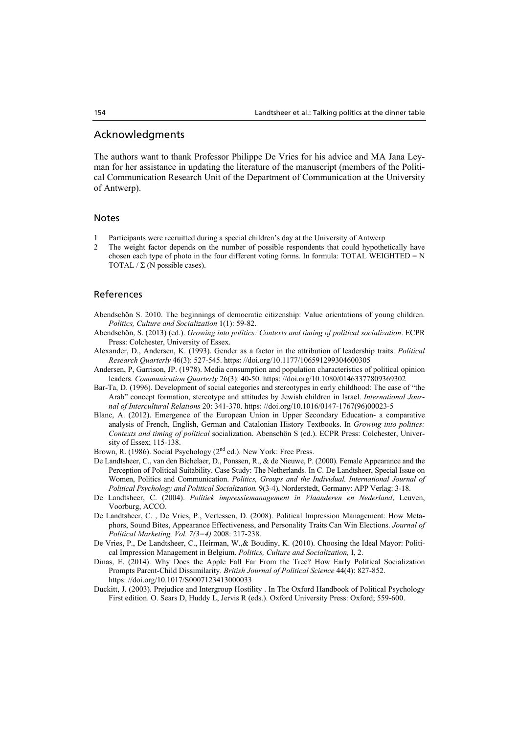# Acknowledgments

The authors want to thank Professor Philippe De Vries for his advice and MA Jana Leyman for her assistance in updating the literature of the manuscript (members of the Political Communication Research Unit of the Department of Communication at the University of Antwerp).

### Notes

- 1 Participants were recruitted during a special children's day at the University of Antwerp
- 2 The weight factor depends on the number of possible respondents that could hypothetically have chosen each type of photo in the four different voting forms. In formula: TOTAL WEIGHTED =  $N$ TOTAL  $/\Sigma$  (N possible cases).

#### References

- Abendschön S. 2010. The beginnings of democratic citizenship: Value orientations of young children. *Politics, Culture and Socialization* 1(1): 59-82.
- Abendschön, S. (2013) (ed.). *Growing into politics: Contexts and timing of political socialization*. ECPR Press: Colchester, University of Essex.
- Alexander, D., Andersen, K. (1993). Gender as a factor in the attribution of leadership traits. *Political Research Quarterly* 46(3): 527-545. https: //doi.org/10.1177/106591299304600305
- Andersen, P, Garrison, JP. (1978). Media consumption and population characteristics of political opinion leaders. *Communication Quarterly* 26(3): 40-50. https: //doi.org/10.1080/01463377809369302
- Bar-Ta, D. (1996). Development of social categories and stereotypes in early childhood: The case of "the Arab" concept formation, stereotype and attitudes by Jewish children in Israel. *International Journal of Intercultural Relations* 20: 341-370. https: //doi.org/10.1016/0147-1767(96)00023-5
- Blanc, A. (2012). Emergence of the European Union in Upper Secondary Education- a comparative analysis of French, English, German and Catalonian History Textbooks. In *Growing into politics: Contexts and timing of political* socialization. Abenschön S (ed.). ECPR Press: Colchester, University of Essex; 115-138.
- Brown, R. (1986). Social Psychology (2<sup>nd</sup> ed.). New York: Free Press.
- De Landtsheer, C., van den Bichelaer, D., Ponssen, R., & de Nieuwe, P. (2000). Female Appearance and the Perception of Political Suitability. Case Study: The Netherlands*.* In C. De Landtsheer, Special Issue on Women, Politics and Communication. *Politics, Groups and the Individual. International Journal of Political Psychology and Political Socialization.* 9(3-4), Norderstedt, Germany: APP Verlag: 3-18.
- De Landtsheer, C. (2004). *Politiek impressiemanagement in Vlaanderen en Nederland*, Leuven, Voorburg, ACCO.
- De Landtsheer, C. , De Vries, P., Vertessen, D. (2008). Political Impression Management: How Metaphors, Sound Bites, Appearance Effectiveness, and Personality Traits Can Win Elections. *Journal of Political Marketing, Vol. 7(3=4)* 2008: 217-238.
- De Vries, P., De Landtsheer, C., Heirman, W.,& Boudiny, K. (2010). Choosing the Ideal Mayor: Political Impression Management in Belgium. *Politics, Culture and Socialization,* I, 2.
- Dinas, E. (2014). Why Does the Apple Fall Far From the Tree? How Early Political Socialization Prompts Parent-Child Dissimilarity. *British Journal of Political Science* 44(4): 827-852. https: //doi.org/10.1017/S0007123413000033
- Duckitt, J. (2003). Prejudice and Intergroup Hostility . In The Oxford Handbook of Political Psychology First edition. O. Sears D, Huddy L, Jervis R (eds.). Oxford University Press: Oxford; 559-600.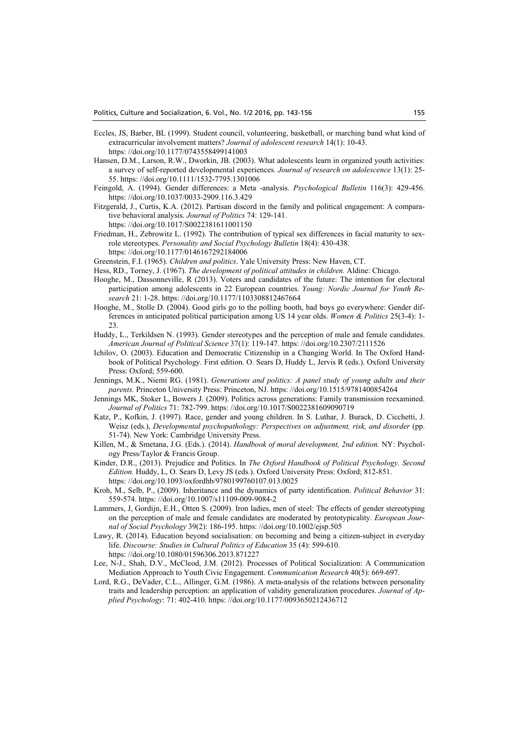- Eccles, JS, Barber, BL (1999). Student council, volunteering, basketball, or marching band what kind of extracurricular involvement matters? *Journal of adolescent research* 14(1): 10-43. https: //doi.org/10.1177/0743558499141003
- Hansen, D.M., Larson, R.W., Dworkin, JB. (2003). What adolescents learn in organized youth activities: a survey of self‐reported developmental experiences. *Journal of research on adolescence* 13(1): 25- 55. https: //doi.org/10.1111/1532-7795.1301006
- Feingold, A. (1994). Gender differences: a Meta -analysis. *Psychological Bulletin* 116(3): 429-456. https: //doi.org/10.1037/0033-2909.116.3.429
- Fitzgerald, J., Curtis, K.A. (2012). Partisan discord in the family and political engagement: A comparative behavioral analysis. *Journal of Politics* 74: 129-141. https: //doi.org/10.1017/S0022381611001150
- Friedman, H., Zebrowitz L. (1992). The contribution of typical sex differences in facial maturity to sexrole stereotypes. *Personality and Social Psychology Bulletin* 18(4): 430-438. https: //doi.org/10.1177/0146167292184006
- Greenstein, F.I. (1965). *Children and politics*. Yale University Press: New Haven, CT.
- Hess, RD., Torney, J. (1967). *The development of political attitudes in children.* Aldine: Chicago.
- Hooghe, M., Dassonneville, R (2013). Voters and candidates of the future: The intention for electoral participation among adolescents in 22 European countries. *Young: Nordic Journal for Youth Research* 21: 1-28. https: //doi.org/10.1177/1103308812467664
- Hooghe, M., Stolle D. (2004). Good girls go to the polling booth, bad boys go everywhere: Gender differences in anticipated political participation among US 14 year olds. *Women & Politics* 25(3-4): 1- 23.
- Huddy, L., Terkildsen N. (1993). Gender stereotypes and the perception of male and female candidates. *American Journal of Political Science* 37(1): 119-147. https: //doi.org/10.2307/2111526
- Ichilov, O. (2003). Education and Democratic Citizenship in a Changing World. In The Oxford Handbook of Political Psychology. First edition. O. Sears D, Huddy L, Jervis R (eds.). Oxford University Press: Oxford; 559-600.
- Jennings, M.K., Niemi RG. (1981). *Generations and politics: A panel study of young adults and their parents.* Princeton University Press: Princeton, NJ. https: //doi.org/10.1515/9781400854264
- Jennings MK, Stoker L, Bowers J. (2009). Politics across generations: Family transmission reexamined. *Journal of Politics* 71: 782-799. https: //doi.org/10.1017/S0022381609090719
- Katz, P., Kofkin, J. (1997). Race, gender and young children. In S. Luthar, J. Burack, D. Cicchetti, J. Weisz (eds.), *Developmental psychopathology: Perspectives on adjustment, risk, and disorder* (pp. 51-74). New York: Cambridge University Press.
- Killen, M., & Smetana, J.G. (Eds.). (2014). *Handbook of moral development, 2nd edition.* NY: Psychology Press/Taylor & Francis Group.
- Kinder, D.R., (2013). Prejudice and Politics. In *The Oxford Handbook of Political Psychology. Second Edition.* Huddy, L, O. Sears D, Levy JS (eds.). Oxford University Press: Oxford; 812-851. https: //doi.org/10.1093/oxfordhb/9780199760107.013.0025
- Kroh, M., Selb, P., (2009). Inheritance and the dynamics of party identification. *Political Behavior* 31: 559-574. https: //doi.org/10.1007/s11109-009-9084-2
- Lammers, J, Gordijn, E.H., Otten S. (2009). Iron ladies, men of steel: The effects of gender stereotyping on the perception of male and female candidates are moderated by prototypicality. *European Journal of Social Psychology* 39(2): 186-195. https: //doi.org/10.1002/ejsp.505
- Lawy, R. (2014). Education beyond socialisation: on becoming and being a citizen-subject in everyday life. *Discourse: Studies in Cultural Politics of Education* 35 (4): 599-610.
	- https: //doi.org/10.1080/01596306.2013.871227
- Lee, N-J., Shah, D.V., McCleod, J.M. (2012). Processes of Political Socialization: A Communication Mediation Approach to Youth Civic Engagement. *Communication Research* 40(5): 669-697.
- Lord, R.G., DeVader, C.L., Allinger, G.M. (1986). A meta-analysis of the relations between personality traits and leadership perception: an application of validity generalization procedures. *Journal of Applied Psychology*: 71: 402-410. https: //doi.org/10.1177/0093650212436712